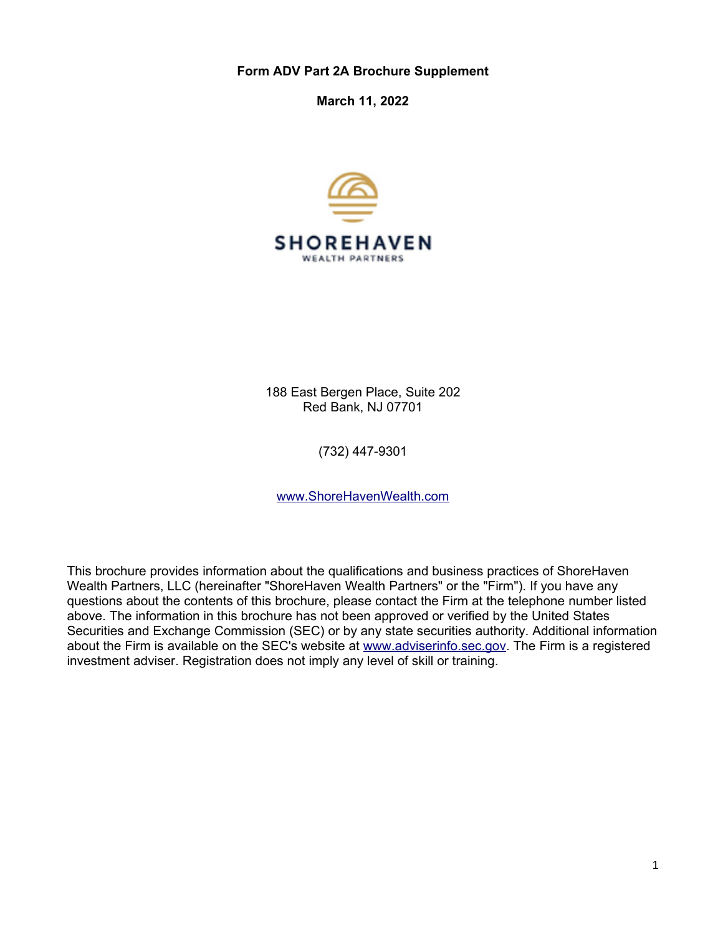**Form ADV Part 2A Brochure Supplement**

**March 11, 2022**



188 East Bergen Place, Suite 202 Red Bank, NJ 07701

(732) 447-9301

[www.ShoreHavenWealth.com](http://www.ShoreHavenWealth.com/)

This brochure provides information about the qualifications and business practices of ShoreHaven Wealth Partners, LLC (hereinafter "ShoreHaven Wealth Partners" or the "Firm"). If you have any questions about the contents of this brochure, please contact the Firm at the telephone number listed above. The information in this brochure has not been approved or verified by the United States Securities and Exchange Commission (SEC) or by any state securities authority. Additional information about the Firm is available on the SEC's website at [www.adviserinfo.sec.gov.](http://www.adviserinfo.sec.gov/) The Firm is a registered investment adviser. Registration does not imply any level of skill or training.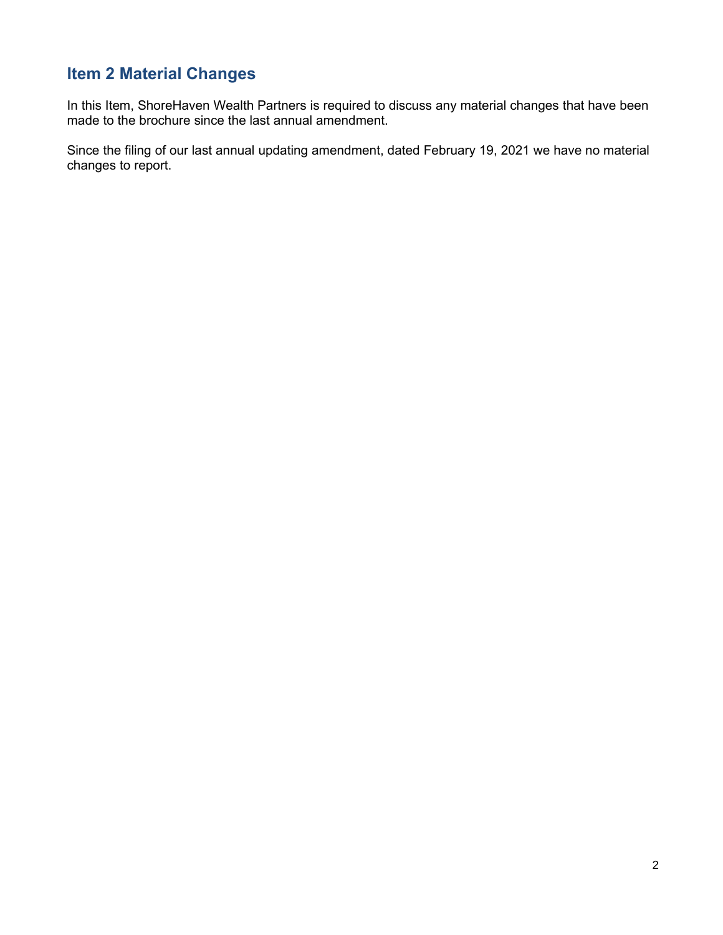# **Item 2 Material Changes**

In this Item, ShoreHaven Wealth Partners is required to discuss any material changes that have been made to the brochure since the last annual amendment.

Since the filing of our last annual updating amendment, dated February 19, 2021 we have no material changes to report.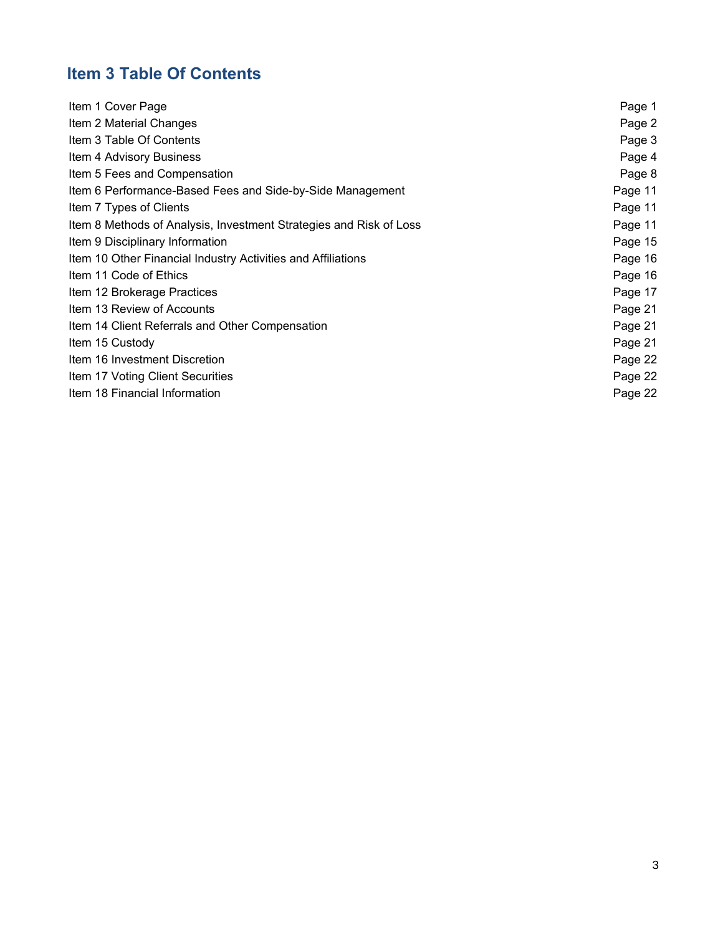# **Item 3 Table Of Contents**

| Item 1 Cover Page                                                  | Page 1  |
|--------------------------------------------------------------------|---------|
| Item 2 Material Changes                                            | Page 2  |
| Item 3 Table Of Contents                                           | Page 3  |
| Item 4 Advisory Business                                           | Page 4  |
| Item 5 Fees and Compensation                                       | Page 8  |
| Item 6 Performance-Based Fees and Side-by-Side Management          | Page 11 |
| Item 7 Types of Clients                                            | Page 11 |
| Item 8 Methods of Analysis, Investment Strategies and Risk of Loss | Page 11 |
| Item 9 Disciplinary Information                                    | Page 15 |
| Item 10 Other Financial Industry Activities and Affiliations       | Page 16 |
| Item 11 Code of Ethics                                             | Page 16 |
| Item 12 Brokerage Practices                                        | Page 17 |
| Item 13 Review of Accounts                                         | Page 21 |
| Item 14 Client Referrals and Other Compensation                    | Page 21 |
| Item 15 Custody                                                    | Page 21 |
| Item 16 Investment Discretion                                      | Page 22 |
| Item 17 Voting Client Securities                                   | Page 22 |
| Item 18 Financial Information                                      | Page 22 |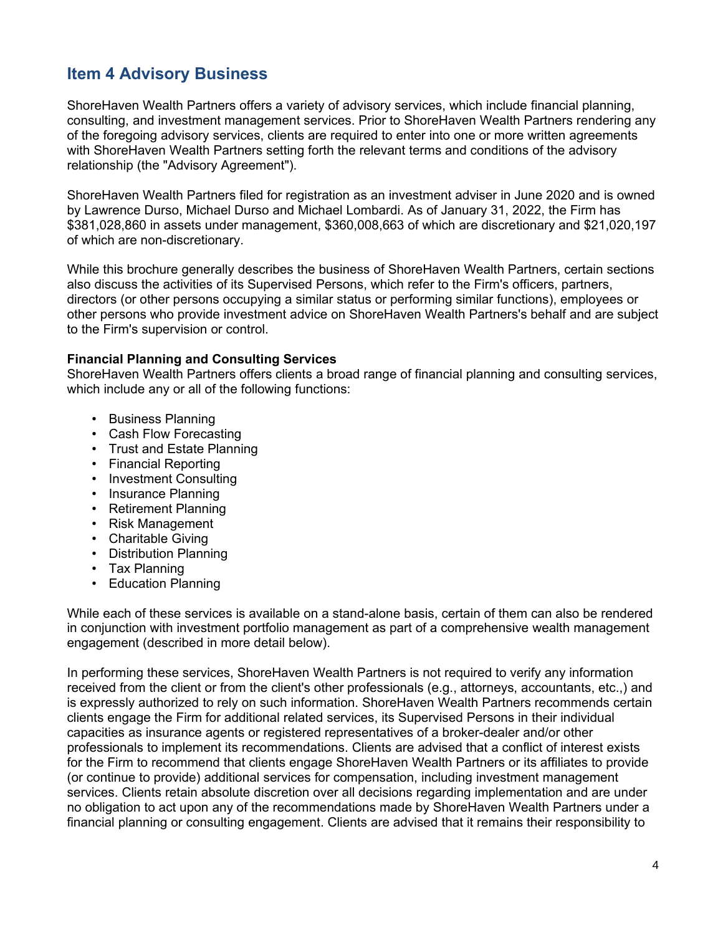# **Item 4 Advisory Business**

ShoreHaven Wealth Partners offers a variety of advisory services, which include financial planning, consulting, and investment management services. Prior to ShoreHaven Wealth Partners rendering any of the foregoing advisory services, clients are required to enter into one or more written agreements with ShoreHaven Wealth Partners setting forth the relevant terms and conditions of the advisory relationship (the "Advisory Agreement").

ShoreHaven Wealth Partners filed for registration as an investment adviser in June 2020 and is owned by Lawrence Durso, Michael Durso and Michael Lombardi. As of January 31, 2022, the Firm has \$381,028,860 in assets under management, \$360,008,663 of which are discretionary and \$21,020,197 of which are non-discretionary.

While this brochure generally describes the business of ShoreHaven Wealth Partners, certain sections also discuss the activities of its Supervised Persons, which refer to the Firm's officers, partners, directors (or other persons occupying a similar status or performing similar functions), employees or other persons who provide investment advice on ShoreHaven Wealth Partners's behalf and are subject to the Firm's supervision or control.

#### **Financial Planning and Consulting Services**

ShoreHaven Wealth Partners offers clients a broad range of financial planning and consulting services, which include any or all of the following functions:

- Business Planning
- Cash Flow Forecasting
- Trust and Estate Planning
- Financial Reporting
- Investment Consulting
- Insurance Planning
- Retirement Planning
- Risk Management
- Charitable Giving
- Distribution Planning
- Tax Planning
- Education Planning

While each of these services is available on a stand-alone basis, certain of them can also be rendered in conjunction with investment portfolio management as part of a comprehensive wealth management engagement (described in more detail below).

In performing these services, ShoreHaven Wealth Partners is not required to verify any information received from the client or from the client's other professionals (e.g., attorneys, accountants, etc.,) and is expressly authorized to rely on such information. ShoreHaven Wealth Partners recommends certain clients engage the Firm for additional related services, its Supervised Persons in their individual capacities as insurance agents or registered representatives of a broker-dealer and/or other professionals to implement its recommendations. Clients are advised that a conflict of interest exists for the Firm to recommend that clients engage ShoreHaven Wealth Partners or its affiliates to provide (or continue to provide) additional services for compensation, including investment management services. Clients retain absolute discretion over all decisions regarding implementation and are under no obligation to act upon any of the recommendations made by ShoreHaven Wealth Partners under a financial planning or consulting engagement. Clients are advised that it remains their responsibility to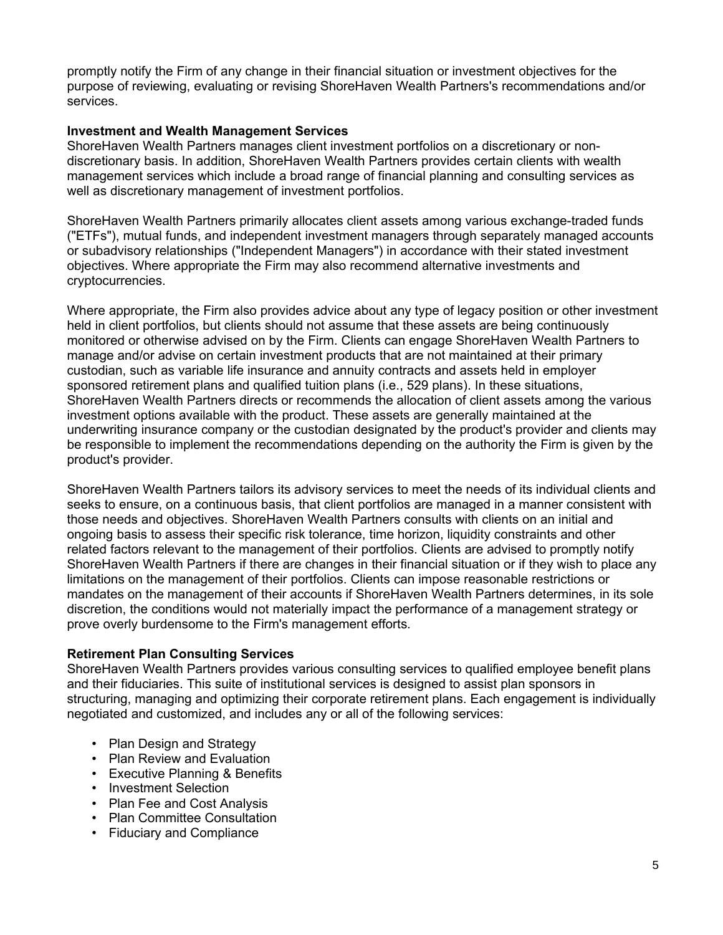promptly notify the Firm of any change in their financial situation or investment objectives for the purpose of reviewing, evaluating or revising ShoreHaven Wealth Partners's recommendations and/or services.

#### **Investment and Wealth Management Services**

ShoreHaven Wealth Partners manages client investment portfolios on a discretionary or nondiscretionary basis. In addition, ShoreHaven Wealth Partners provides certain clients with wealth management services which include a broad range of financial planning and consulting services as well as discretionary management of investment portfolios.

ShoreHaven Wealth Partners primarily allocates client assets among various exchange-traded funds ("ETFs"), mutual funds, and independent investment managers through separately managed accounts or subadvisory relationships ("Independent Managers") in accordance with their stated investment objectives. Where appropriate the Firm may also recommend alternative investments and cryptocurrencies.

Where appropriate, the Firm also provides advice about any type of legacy position or other investment held in client portfolios, but clients should not assume that these assets are being continuously monitored or otherwise advised on by the Firm. Clients can engage ShoreHaven Wealth Partners to manage and/or advise on certain investment products that are not maintained at their primary custodian, such as variable life insurance and annuity contracts and assets held in employer sponsored retirement plans and qualified tuition plans (i.e., 529 plans). In these situations, ShoreHaven Wealth Partners directs or recommends the allocation of client assets among the various investment options available with the product. These assets are generally maintained at the underwriting insurance company or the custodian designated by the product's provider and clients may be responsible to implement the recommendations depending on the authority the Firm is given by the product's provider.

ShoreHaven Wealth Partners tailors its advisory services to meet the needs of its individual clients and seeks to ensure, on a continuous basis, that client portfolios are managed in a manner consistent with those needs and objectives. ShoreHaven Wealth Partners consults with clients on an initial and ongoing basis to assess their specific risk tolerance, time horizon, liquidity constraints and other related factors relevant to the management of their portfolios. Clients are advised to promptly notify ShoreHaven Wealth Partners if there are changes in their financial situation or if they wish to place any limitations on the management of their portfolios. Clients can impose reasonable restrictions or mandates on the management of their accounts if ShoreHaven Wealth Partners determines, in its sole discretion, the conditions would not materially impact the performance of a management strategy or prove overly burdensome to the Firm's management efforts.

#### **Retirement Plan Consulting Services**

ShoreHaven Wealth Partners provides various consulting services to qualified employee benefit plans and their fiduciaries. This suite of institutional services is designed to assist plan sponsors in structuring, managing and optimizing their corporate retirement plans. Each engagement is individually negotiated and customized, and includes any or all of the following services:

- Plan Design and Strategy
- Plan Review and Evaluation
- Executive Planning & Benefits
- Investment Selection
- Plan Fee and Cost Analysis
- Plan Committee Consultation
- Fiduciary and Compliance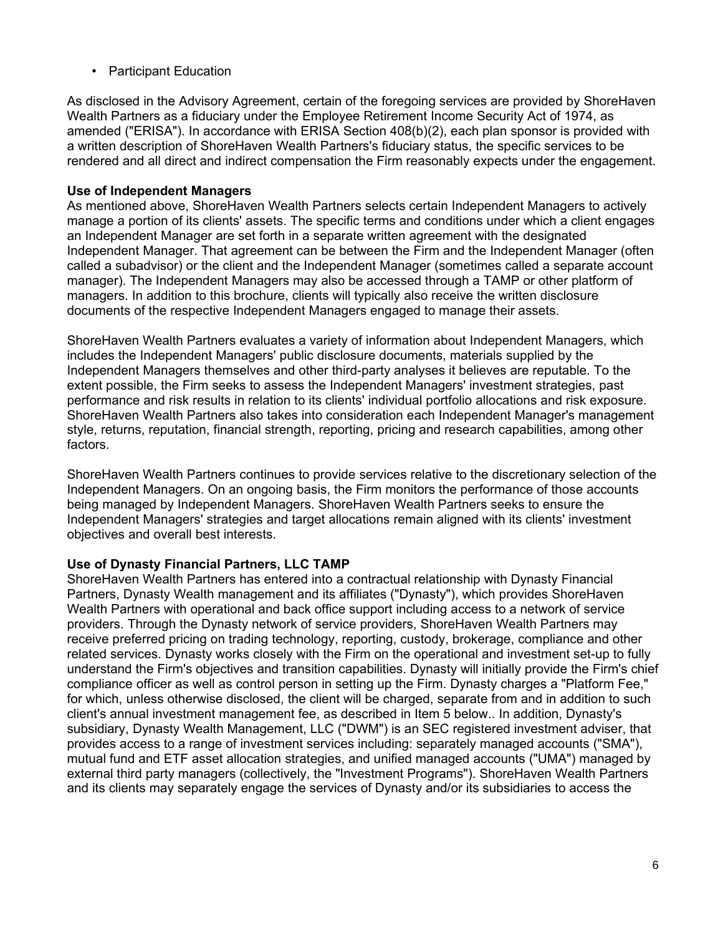• Participant Education

As disclosed in the Advisory Agreement, certain of the foregoing services are provided by ShoreHaven Wealth Partners as a fiduciary under the Employee Retirement Income Security Act of 1974, as amended ("ERISA"). In accordance with ERISA Section 408(b)(2), each plan sponsor is provided with a written description of ShoreHaven Wealth Partners's fiduciary status, the specific services to be rendered and all direct and indirect compensation the Firm reasonably expects under the engagement.

#### **Use of Independent Managers**

As mentioned above, ShoreHaven Wealth Partners selects certain Independent Managers to actively manage a portion of its clients' assets. The specific terms and conditions under which a client engages an Independent Manager are set forth in a separate written agreement with the designated Independent Manager. That agreement can be between the Firm and the Independent Manager (often called a subadvisor) or the client and the Independent Manager (sometimes called a separate account manager). The Independent Managers may also be accessed through a TAMP or other platform of managers. In addition to this brochure, clients will typically also receive the written disclosure documents of the respective Independent Managers engaged to manage their assets.

ShoreHaven Wealth Partners evaluates a variety of information about Independent Managers, which includes the Independent Managers' public disclosure documents, materials supplied by the Independent Managers themselves and other third-party analyses it believes are reputable. To the extent possible, the Firm seeks to assess the Independent Managers' investment strategies, past performance and risk results in relation to its clients' individual portfolio allocations and risk exposure. ShoreHaven Wealth Partners also takes into consideration each Independent Manager's management style, returns, reputation, financial strength, reporting, pricing and research capabilities, among other factors.

ShoreHaven Wealth Partners continues to provide services relative to the discretionary selection of the Independent Managers. On an ongoing basis, the Firm monitors the performance of those accounts being managed by Independent Managers. ShoreHaven Wealth Partners seeks to ensure the Independent Managers' strategies and target allocations remain aligned with its clients' investment objectives and overall best interests.

#### **Use of Dynasty Financial Partners, LLC TAMP**

ShoreHaven Wealth Partners has entered into a contractual relationship with Dynasty Financial Partners, Dynasty Wealth management and its affiliates ("Dynasty"), which provides ShoreHaven Wealth Partners with operational and back office support including access to a network of service providers. Through the Dynasty network of service providers, ShoreHaven Wealth Partners may receive preferred pricing on trading technology, reporting, custody, brokerage, compliance and other related services. Dynasty works closely with the Firm on the operational and investment set-up to fully understand the Firm's objectives and transition capabilities. Dynasty will initially provide the Firm's chief compliance officer as well as control person in setting up the Firm. Dynasty charges a "Platform Fee," for which, unless otherwise disclosed, the client will be charged, separate from and in addition to such client's annual investment management fee, as described in Item 5 below.. In addition, Dynasty's subsidiary, Dynasty Wealth Management, LLC ("DWM") is an SEC registered investment adviser, that provides access to a range of investment services including: separately managed accounts ("SMA"), mutual fund and ETF asset allocation strategies, and unified managed accounts ("UMA") managed by external third party managers (collectively, the "Investment Programs"). ShoreHaven Wealth Partners and its clients may separately engage the services of Dynasty and/or its subsidiaries to access the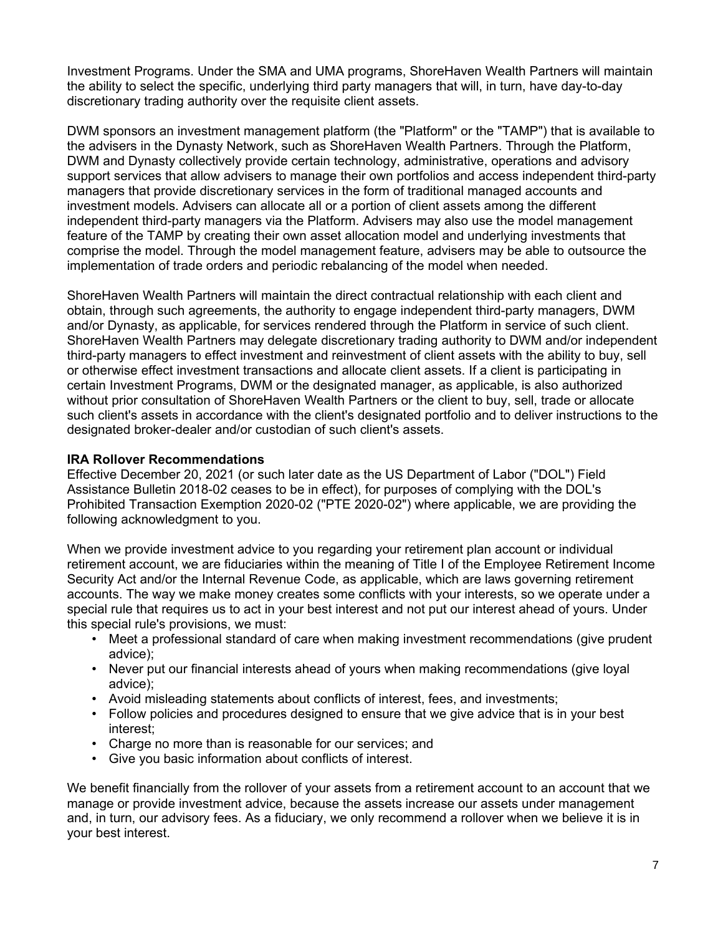Investment Programs. Under the SMA and UMA programs, ShoreHaven Wealth Partners will maintain the ability to select the specific, underlying third party managers that will, in turn, have day-to-day discretionary trading authority over the requisite client assets.

DWM sponsors an investment management platform (the "Platform" or the "TAMP") that is available to the advisers in the Dynasty Network, such as ShoreHaven Wealth Partners. Through the Platform, DWM and Dynasty collectively provide certain technology, administrative, operations and advisory support services that allow advisers to manage their own portfolios and access independent third-party managers that provide discretionary services in the form of traditional managed accounts and investment models. Advisers can allocate all or a portion of client assets among the different independent third-party managers via the Platform. Advisers may also use the model management feature of the TAMP by creating their own asset allocation model and underlying investments that comprise the model. Through the model management feature, advisers may be able to outsource the implementation of trade orders and periodic rebalancing of the model when needed.

ShoreHaven Wealth Partners will maintain the direct contractual relationship with each client and obtain, through such agreements, the authority to engage independent third-party managers, DWM and/or Dynasty, as applicable, for services rendered through the Platform in service of such client. ShoreHaven Wealth Partners may delegate discretionary trading authority to DWM and/or independent third-party managers to effect investment and reinvestment of client assets with the ability to buy, sell or otherwise effect investment transactions and allocate client assets. If a client is participating in certain Investment Programs, DWM or the designated manager, as applicable, is also authorized without prior consultation of ShoreHaven Wealth Partners or the client to buy, sell, trade or allocate such client's assets in accordance with the client's designated portfolio and to deliver instructions to the designated broker-dealer and/or custodian of such client's assets.

#### **IRA Rollover Recommendations**

Effective December 20, 2021 (or such later date as the US Department of Labor ("DOL") Field Assistance Bulletin 2018-02 ceases to be in effect), for purposes of complying with the DOL's Prohibited Transaction Exemption 2020-02 ("PTE 2020-02") where applicable, we are providing the following acknowledgment to you.

When we provide investment advice to you regarding your retirement plan account or individual retirement account, we are fiduciaries within the meaning of Title I of the Employee Retirement Income Security Act and/or the Internal Revenue Code, as applicable, which are laws governing retirement accounts. The way we make money creates some conflicts with your interests, so we operate under a special rule that requires us to act in your best interest and not put our interest ahead of yours. Under this special rule's provisions, we must:

- Meet a professional standard of care when making investment recommendations (give prudent advice);
- Never put our financial interests ahead of yours when making recommendations (give loyal advice);
- Avoid misleading statements about conflicts of interest, fees, and investments;
- Follow policies and procedures designed to ensure that we give advice that is in your best interest;
- Charge no more than is reasonable for our services; and
- Give you basic information about conflicts of interest.

We benefit financially from the rollover of your assets from a retirement account to an account that we manage or provide investment advice, because the assets increase our assets under management and, in turn, our advisory fees. As a fiduciary, we only recommend a rollover when we believe it is in your best interest.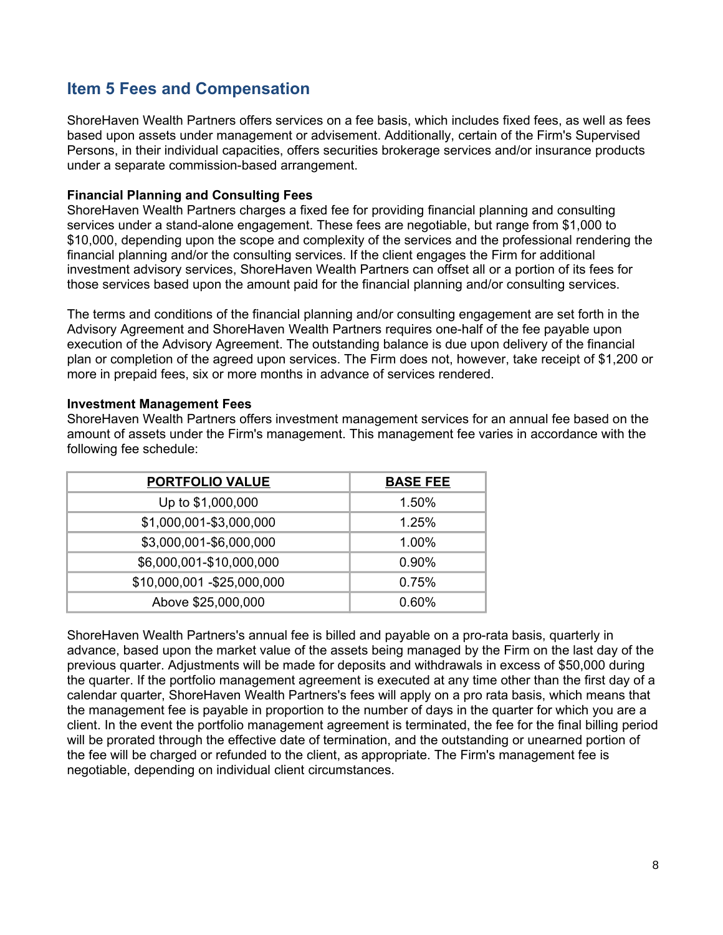## **Item 5 Fees and Compensation**

ShoreHaven Wealth Partners offers services on a fee basis, which includes fixed fees, as well as fees based upon assets under management or advisement. Additionally, certain of the Firm's Supervised Persons, in their individual capacities, offers securities brokerage services and/or insurance products under a separate commission-based arrangement.

#### **Financial Planning and Consulting Fees**

ShoreHaven Wealth Partners charges a fixed fee for providing financial planning and consulting services under a stand-alone engagement. These fees are negotiable, but range from \$1,000 to \$10,000, depending upon the scope and complexity of the services and the professional rendering the financial planning and/or the consulting services. If the client engages the Firm for additional investment advisory services, ShoreHaven Wealth Partners can offset all or a portion of its fees for those services based upon the amount paid for the financial planning and/or consulting services.

The terms and conditions of the financial planning and/or consulting engagement are set forth in the Advisory Agreement and ShoreHaven Wealth Partners requires one-half of the fee payable upon execution of the Advisory Agreement. The outstanding balance is due upon delivery of the financial plan or completion of the agreed upon services. The Firm does not, however, take receipt of \$1,200 or more in prepaid fees, six or more months in advance of services rendered.

#### **Investment Management Fees**

ShoreHaven Wealth Partners offers investment management services for an annual fee based on the amount of assets under the Firm's management. This management fee varies in accordance with the following fee schedule:

| <b>PORTFOLIO VALUE</b>      | <b>BASE FEE</b> |
|-----------------------------|-----------------|
| Up to \$1,000,000           | 1.50%           |
| \$1,000,001-\$3,000,000     | 1.25%           |
| \$3,000,001-\$6,000,000     | 1.00%           |
| \$6,000,001-\$10,000,000    | 0.90%           |
| \$10,000,001 - \$25,000,000 | 0.75%           |
| Above \$25,000,000          | 0.60%           |

ShoreHaven Wealth Partners's annual fee is billed and payable on a pro-rata basis, quarterly in advance, based upon the market value of the assets being managed by the Firm on the last day of the previous quarter. Adjustments will be made for deposits and withdrawals in excess of \$50,000 during the quarter. If the portfolio management agreement is executed at any time other than the first day of a calendar quarter, ShoreHaven Wealth Partners's fees will apply on a pro rata basis, which means that the management fee is payable in proportion to the number of days in the quarter for which you are a client. In the event the portfolio management agreement is terminated, the fee for the final billing period will be prorated through the effective date of termination, and the outstanding or unearned portion of the fee will be charged or refunded to the client, as appropriate. The Firm's management fee is negotiable, depending on individual client circumstances.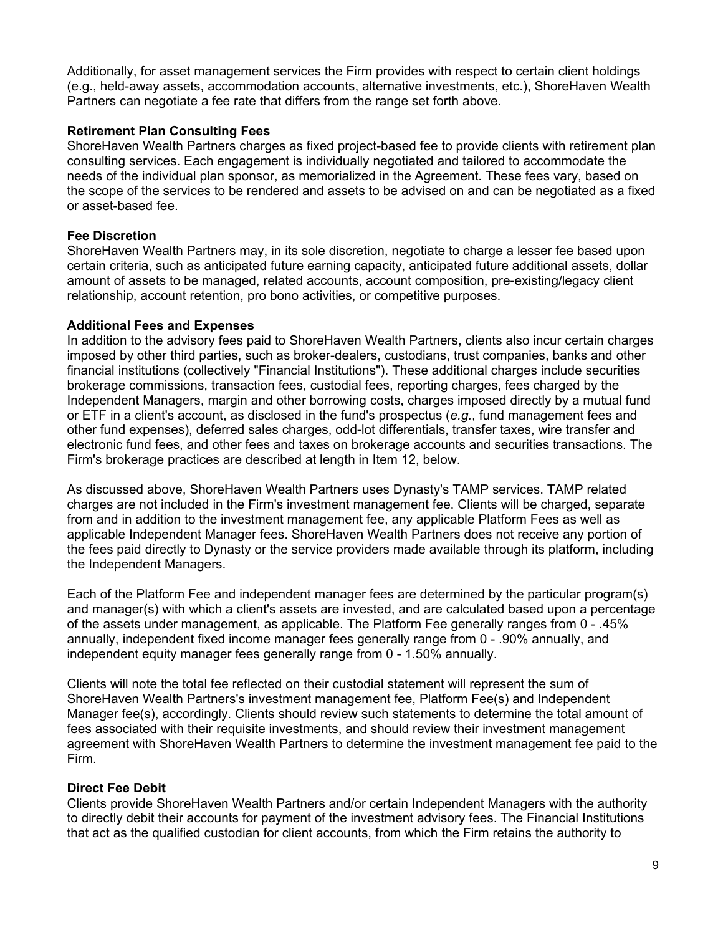Additionally, for asset management services the Firm provides with respect to certain client holdings (e.g., held-away assets, accommodation accounts, alternative investments, etc.), ShoreHaven Wealth Partners can negotiate a fee rate that differs from the range set forth above.

#### **Retirement Plan Consulting Fees**

ShoreHaven Wealth Partners charges as fixed project-based fee to provide clients with retirement plan consulting services. Each engagement is individually negotiated and tailored to accommodate the needs of the individual plan sponsor, as memorialized in the Agreement. These fees vary, based on the scope of the services to be rendered and assets to be advised on and can be negotiated as a fixed or asset-based fee.

#### **Fee Discretion**

ShoreHaven Wealth Partners may, in its sole discretion, negotiate to charge a lesser fee based upon certain criteria, such as anticipated future earning capacity, anticipated future additional assets, dollar amount of assets to be managed, related accounts, account composition, pre-existing/legacy client relationship, account retention, pro bono activities, or competitive purposes.

### **Additional Fees and Expenses**

In addition to the advisory fees paid to ShoreHaven Wealth Partners, clients also incur certain charges imposed by other third parties, such as broker-dealers, custodians, trust companies, banks and other financial institutions (collectively "Financial Institutions"). These additional charges include securities brokerage commissions, transaction fees, custodial fees, reporting charges, fees charged by the Independent Managers, margin and other borrowing costs, charges imposed directly by a mutual fund or ETF in a client's account, as disclosed in the fund's prospectus (*e.g.*, fund management fees and other fund expenses), deferred sales charges, odd-lot differentials, transfer taxes, wire transfer and electronic fund fees, and other fees and taxes on brokerage accounts and securities transactions. The Firm's brokerage practices are described at length in Item 12, below.

As discussed above, ShoreHaven Wealth Partners uses Dynasty's TAMP services. TAMP related charges are not included in the Firm's investment management fee. Clients will be charged, separate from and in addition to the investment management fee, any applicable Platform Fees as well as applicable Independent Manager fees. ShoreHaven Wealth Partners does not receive any portion of the fees paid directly to Dynasty or the service providers made available through its platform, including the Independent Managers.

Each of the Platform Fee and independent manager fees are determined by the particular program(s) and manager(s) with which a client's assets are invested, and are calculated based upon a percentage of the assets under management, as applicable. The Platform Fee generally ranges from 0 - .45% annually, independent fixed income manager fees generally range from 0 - .90% annually, and independent equity manager fees generally range from 0 - 1.50% annually.

Clients will note the total fee reflected on their custodial statement will represent the sum of ShoreHaven Wealth Partners's investment management fee, Platform Fee(s) and Independent Manager fee(s), accordingly. Clients should review such statements to determine the total amount of fees associated with their requisite investments, and should review their investment management agreement with ShoreHaven Wealth Partners to determine the investment management fee paid to the Firm.

### **Direct Fee Debit**

Clients provide ShoreHaven Wealth Partners and/or certain Independent Managers with the authority to directly debit their accounts for payment of the investment advisory fees. The Financial Institutions that act as the qualified custodian for client accounts, from which the Firm retains the authority to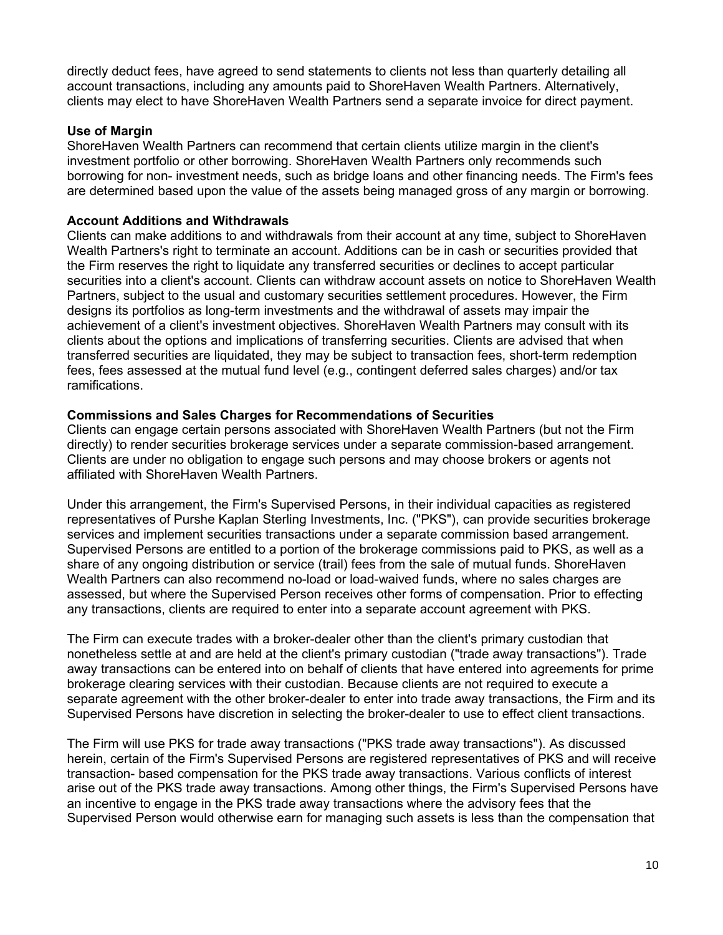directly deduct fees, have agreed to send statements to clients not less than quarterly detailing all account transactions, including any amounts paid to ShoreHaven Wealth Partners. Alternatively, clients may elect to have ShoreHaven Wealth Partners send a separate invoice for direct payment.

#### **Use of Margin**

ShoreHaven Wealth Partners can recommend that certain clients utilize margin in the client's investment portfolio or other borrowing. ShoreHaven Wealth Partners only recommends such borrowing for non- investment needs, such as bridge loans and other financing needs. The Firm's fees are determined based upon the value of the assets being managed gross of any margin or borrowing.

#### **Account Additions and Withdrawals**

Clients can make additions to and withdrawals from their account at any time, subject to ShoreHaven Wealth Partners's right to terminate an account. Additions can be in cash or securities provided that the Firm reserves the right to liquidate any transferred securities or declines to accept particular securities into a client's account. Clients can withdraw account assets on notice to ShoreHaven Wealth Partners, subject to the usual and customary securities settlement procedures. However, the Firm designs its portfolios as long-term investments and the withdrawal of assets may impair the achievement of a client's investment objectives. ShoreHaven Wealth Partners may consult with its clients about the options and implications of transferring securities. Clients are advised that when transferred securities are liquidated, they may be subject to transaction fees, short-term redemption fees, fees assessed at the mutual fund level (e.g., contingent deferred sales charges) and/or tax ramifications.

#### **Commissions and Sales Charges for Recommendations of Securities**

Clients can engage certain persons associated with ShoreHaven Wealth Partners (but not the Firm directly) to render securities brokerage services under a separate commission-based arrangement. Clients are under no obligation to engage such persons and may choose brokers or agents not affiliated with ShoreHaven Wealth Partners.

Under this arrangement, the Firm's Supervised Persons, in their individual capacities as registered representatives of Purshe Kaplan Sterling Investments, Inc. ("PKS"), can provide securities brokerage services and implement securities transactions under a separate commission based arrangement. Supervised Persons are entitled to a portion of the brokerage commissions paid to PKS, as well as a share of any ongoing distribution or service (trail) fees from the sale of mutual funds. ShoreHaven Wealth Partners can also recommend no-load or load-waived funds, where no sales charges are assessed, but where the Supervised Person receives other forms of compensation. Prior to effecting any transactions, clients are required to enter into a separate account agreement with PKS.

The Firm can execute trades with a broker-dealer other than the client's primary custodian that nonetheless settle at and are held at the client's primary custodian ("trade away transactions"). Trade away transactions can be entered into on behalf of clients that have entered into agreements for prime brokerage clearing services with their custodian. Because clients are not required to execute a separate agreement with the other broker-dealer to enter into trade away transactions, the Firm and its Supervised Persons have discretion in selecting the broker-dealer to use to effect client transactions.

The Firm will use PKS for trade away transactions ("PKS trade away transactions"). As discussed herein, certain of the Firm's Supervised Persons are registered representatives of PKS and will receive transaction- based compensation for the PKS trade away transactions. Various conflicts of interest arise out of the PKS trade away transactions. Among other things, the Firm's Supervised Persons have an incentive to engage in the PKS trade away transactions where the advisory fees that the Supervised Person would otherwise earn for managing such assets is less than the compensation that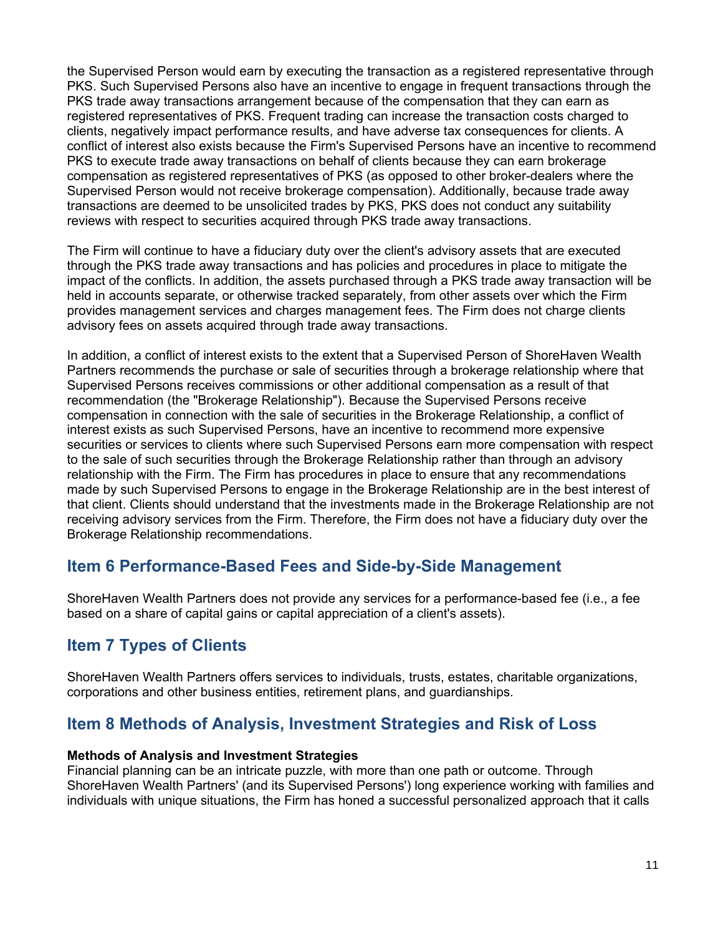the Supervised Person would earn by executing the transaction as a registered representative through PKS. Such Supervised Persons also have an incentive to engage in frequent transactions through the PKS trade away transactions arrangement because of the compensation that they can earn as registered representatives of PKS. Frequent trading can increase the transaction costs charged to clients, negatively impact performance results, and have adverse tax consequences for clients. A conflict of interest also exists because the Firm's Supervised Persons have an incentive to recommend PKS to execute trade away transactions on behalf of clients because they can earn brokerage compensation as registered representatives of PKS (as opposed to other broker-dealers where the Supervised Person would not receive brokerage compensation). Additionally, because trade away transactions are deemed to be unsolicited trades by PKS, PKS does not conduct any suitability reviews with respect to securities acquired through PKS trade away transactions.

The Firm will continue to have a fiduciary duty over the client's advisory assets that are executed through the PKS trade away transactions and has policies and procedures in place to mitigate the impact of the conflicts. In addition, the assets purchased through a PKS trade away transaction will be held in accounts separate, or otherwise tracked separately, from other assets over which the Firm provides management services and charges management fees. The Firm does not charge clients advisory fees on assets acquired through trade away transactions.

In addition, a conflict of interest exists to the extent that a Supervised Person of ShoreHaven Wealth Partners recommends the purchase or sale of securities through a brokerage relationship where that Supervised Persons receives commissions or other additional compensation as a result of that recommendation (the "Brokerage Relationship"). Because the Supervised Persons receive compensation in connection with the sale of securities in the Brokerage Relationship, a conflict of interest exists as such Supervised Persons, have an incentive to recommend more expensive securities or services to clients where such Supervised Persons earn more compensation with respect to the sale of such securities through the Brokerage Relationship rather than through an advisory relationship with the Firm. The Firm has procedures in place to ensure that any recommendations made by such Supervised Persons to engage in the Brokerage Relationship are in the best interest of that client. Clients should understand that the investments made in the Brokerage Relationship are not receiving advisory services from the Firm. Therefore, the Firm does not have a fiduciary duty over the Brokerage Relationship recommendations.

## **Item 6 Performance-Based Fees and Side-by-Side Management**

ShoreHaven Wealth Partners does not provide any services for a performance-based fee (i.e., a fee based on a share of capital gains or capital appreciation of a client's assets).

## **Item 7 Types of Clients**

ShoreHaven Wealth Partners offers services to individuals, trusts, estates, charitable organizations, corporations and other business entities, retirement plans, and guardianships.

### **Item 8 Methods of Analysis, Investment Strategies and Risk of Loss**

#### **Methods of Analysis and Investment Strategies**

Financial planning can be an intricate puzzle, with more than one path or outcome. Through ShoreHaven Wealth Partners' (and its Supervised Persons') long experience working with families and individuals with unique situations, the Firm has honed a successful personalized approach that it calls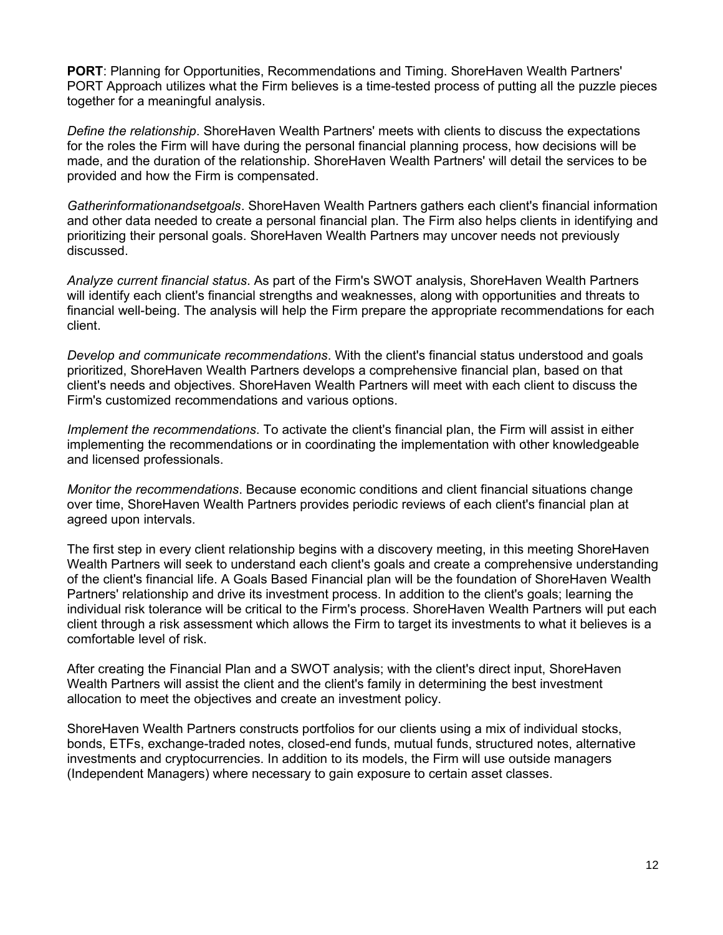**PORT**: Planning for Opportunities, Recommendations and Timing. ShoreHaven Wealth Partners' PORT Approach utilizes what the Firm believes is a time-tested process of putting all the puzzle pieces together for a meaningful analysis.

*Define the relationship*. ShoreHaven Wealth Partners' meets with clients to discuss the expectations for the roles the Firm will have during the personal financial planning process, how decisions will be made, and the duration of the relationship. ShoreHaven Wealth Partners' will detail the services to be provided and how the Firm is compensated.

*Gatherinformationandsetgoals*. ShoreHaven Wealth Partners gathers each client's financial information and other data needed to create a personal financial plan. The Firm also helps clients in identifying and prioritizing their personal goals. ShoreHaven Wealth Partners may uncover needs not previously discussed.

*Analyze current financial status*. As part of the Firm's SWOT analysis, ShoreHaven Wealth Partners will identify each client's financial strengths and weaknesses, along with opportunities and threats to financial well-being. The analysis will help the Firm prepare the appropriate recommendations for each client.

*Develop and communicate recommendations*. With the client's financial status understood and goals prioritized, ShoreHaven Wealth Partners develops a comprehensive financial plan, based on that client's needs and objectives. ShoreHaven Wealth Partners will meet with each client to discuss the Firm's customized recommendations and various options.

*Implement the recommendations*. To activate the client's financial plan, the Firm will assist in either implementing the recommendations or in coordinating the implementation with other knowledgeable and licensed professionals.

*Monitor the recommendations*. Because economic conditions and client financial situations change over time, ShoreHaven Wealth Partners provides periodic reviews of each client's financial plan at agreed upon intervals.

The first step in every client relationship begins with a discovery meeting, in this meeting ShoreHaven Wealth Partners will seek to understand each client's goals and create a comprehensive understanding of the client's financial life. A Goals Based Financial plan will be the foundation of ShoreHaven Wealth Partners' relationship and drive its investment process. In addition to the client's goals; learning the individual risk tolerance will be critical to the Firm's process. ShoreHaven Wealth Partners will put each client through a risk assessment which allows the Firm to target its investments to what it believes is a comfortable level of risk.

After creating the Financial Plan and a SWOT analysis; with the client's direct input, ShoreHaven Wealth Partners will assist the client and the client's family in determining the best investment allocation to meet the objectives and create an investment policy.

ShoreHaven Wealth Partners constructs portfolios for our clients using a mix of individual stocks, bonds, ETFs, exchange-traded notes, closed-end funds, mutual funds, structured notes, alternative investments and cryptocurrencies. In addition to its models, the Firm will use outside managers (Independent Managers) where necessary to gain exposure to certain asset classes.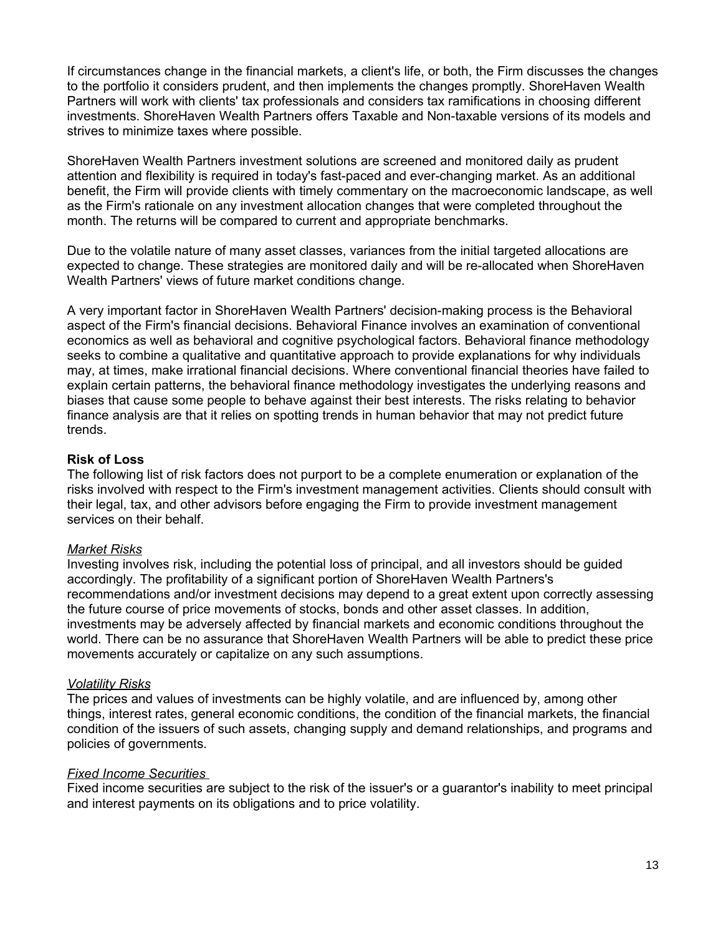If circumstances change in the financial markets, a client's life, or both, the Firm discusses the changes to the portfolio it considers prudent, and then implements the changes promptly. ShoreHaven Wealth Partners will work with clients' tax professionals and considers tax ramifications in choosing different investments. ShoreHaven Wealth Partners offers Taxable and Non-taxable versions of its models and strives to minimize taxes where possible.

ShoreHaven Wealth Partners investment solutions are screened and monitored daily as prudent attention and flexibility is required in today's fast-paced and ever-changing market. As an additional benefit, the Firm will provide clients with timely commentary on the macroeconomic landscape, as well as the Firm's rationale on any investment allocation changes that were completed throughout the month. The returns will be compared to current and appropriate benchmarks.

Due to the volatile nature of many asset classes, variances from the initial targeted allocations are expected to change. These strategies are monitored daily and will be re-allocated when ShoreHaven Wealth Partners' views of future market conditions change.

A very important factor in ShoreHaven Wealth Partners' decision-making process is the Behavioral aspect of the Firm's financial decisions. Behavioral Finance involves an examination of conventional economics as well as behavioral and cognitive psychological factors. Behavioral finance methodology seeks to combine a qualitative and quantitative approach to provide explanations for why individuals may, at times, make irrational financial decisions. Where conventional financial theories have failed to explain certain patterns, the behavioral finance methodology investigates the underlying reasons and biases that cause some people to behave against their best interests. The risks relating to behavior finance analysis are that it relies on spotting trends in human behavior that may not predict future trends.

#### **Risk of Loss**

The following list of risk factors does not purport to be a complete enumeration or explanation of the risks involved with respect to the Firm's investment management activities. Clients should consult with their legal, tax, and other advisors before engaging the Firm to provide investment management services on their behalf.

#### *Market Risks*

Investing involves risk, including the potential loss of principal, and all investors should be guided accordingly. The profitability of a significant portion of ShoreHaven Wealth Partners's recommendations and/or investment decisions may depend to a great extent upon correctly assessing the future course of price movements of stocks, bonds and other asset classes. In addition, investments may be adversely affected by financial markets and economic conditions throughout the world. There can be no assurance that ShoreHaven Wealth Partners will be able to predict these price movements accurately or capitalize on any such assumptions.

#### *Volatility Risks*

The prices and values of investments can be highly volatile, and are influenced by, among other things, interest rates, general economic conditions, the condition of the financial markets, the financial condition of the issuers of such assets, changing supply and demand relationships, and programs and policies of governments.

#### *Fixed Income Securities*

Fixed income securities are subject to the risk of the issuer's or a guarantor's inability to meet principal and interest payments on its obligations and to price volatility.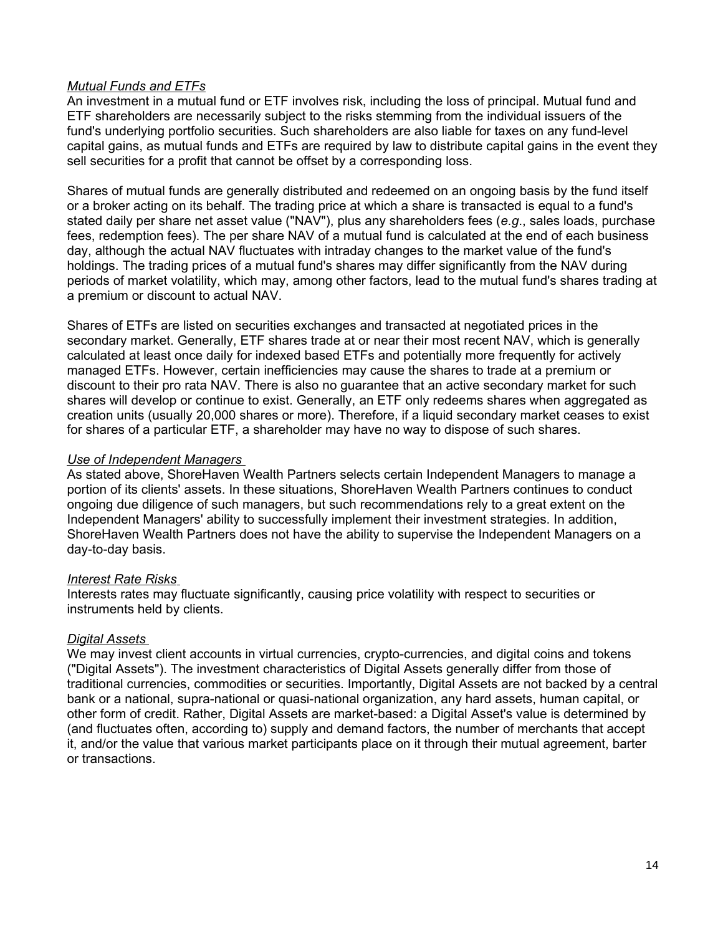#### *Mutual Funds and ETFs*

An investment in a mutual fund or ETF involves risk, including the loss of principal. Mutual fund and ETF shareholders are necessarily subject to the risks stemming from the individual issuers of the fund's underlying portfolio securities. Such shareholders are also liable for taxes on any fund-level capital gains, as mutual funds and ETFs are required by law to distribute capital gains in the event they sell securities for a profit that cannot be offset by a corresponding loss.

Shares of mutual funds are generally distributed and redeemed on an ongoing basis by the fund itself or a broker acting on its behalf. The trading price at which a share is transacted is equal to a fund's stated daily per share net asset value ("NAV"), plus any shareholders fees (*e.g*., sales loads, purchase fees, redemption fees). The per share NAV of a mutual fund is calculated at the end of each business day, although the actual NAV fluctuates with intraday changes to the market value of the fund's holdings. The trading prices of a mutual fund's shares may differ significantly from the NAV during periods of market volatility, which may, among other factors, lead to the mutual fund's shares trading at a premium or discount to actual NAV.

Shares of ETFs are listed on securities exchanges and transacted at negotiated prices in the secondary market. Generally, ETF shares trade at or near their most recent NAV, which is generally calculated at least once daily for indexed based ETFs and potentially more frequently for actively managed ETFs. However, certain inefficiencies may cause the shares to trade at a premium or discount to their pro rata NAV. There is also no guarantee that an active secondary market for such shares will develop or continue to exist. Generally, an ETF only redeems shares when aggregated as creation units (usually 20,000 shares or more). Therefore, if a liquid secondary market ceases to exist for shares of a particular ETF, a shareholder may have no way to dispose of such shares.

#### *Use of Independent Managers*

As stated above, ShoreHaven Wealth Partners selects certain Independent Managers to manage a portion of its clients' assets. In these situations, ShoreHaven Wealth Partners continues to conduct ongoing due diligence of such managers, but such recommendations rely to a great extent on the Independent Managers' ability to successfully implement their investment strategies. In addition, ShoreHaven Wealth Partners does not have the ability to supervise the Independent Managers on a day-to-day basis.

#### *Interest Rate Risks*

Interests rates may fluctuate significantly, causing price volatility with respect to securities or instruments held by clients.

#### *Digital Assets*

We may invest client accounts in virtual currencies, crypto-currencies, and digital coins and tokens ("Digital Assets"). The investment characteristics of Digital Assets generally differ from those of traditional currencies, commodities or securities. Importantly, Digital Assets are not backed by a central bank or a national, supra-national or quasi-national organization, any hard assets, human capital, or other form of credit. Rather, Digital Assets are market-based: a Digital Asset's value is determined by (and fluctuates often, according to) supply and demand factors, the number of merchants that accept it, and/or the value that various market participants place on it through their mutual agreement, barter or transactions.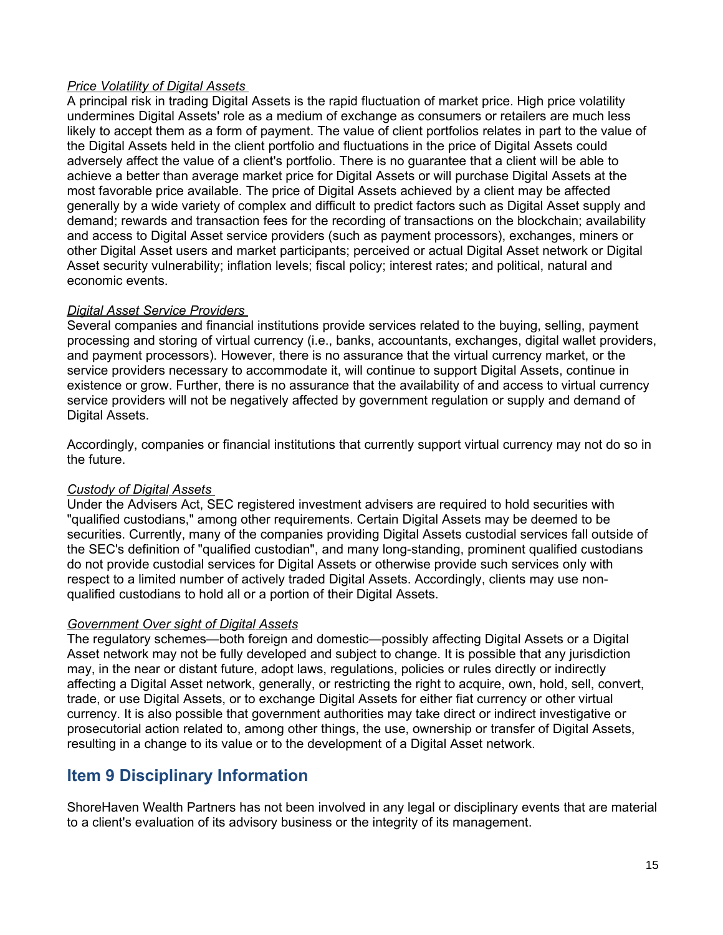#### *Price Volatility of Digital Assets*

A principal risk in trading Digital Assets is the rapid fluctuation of market price. High price volatility undermines Digital Assets' role as a medium of exchange as consumers or retailers are much less likely to accept them as a form of payment. The value of client portfolios relates in part to the value of the Digital Assets held in the client portfolio and fluctuations in the price of Digital Assets could adversely affect the value of a client's portfolio. There is no guarantee that a client will be able to achieve a better than average market price for Digital Assets or will purchase Digital Assets at the most favorable price available. The price of Digital Assets achieved by a client may be affected generally by a wide variety of complex and difficult to predict factors such as Digital Asset supply and demand; rewards and transaction fees for the recording of transactions on the blockchain; availability and access to Digital Asset service providers (such as payment processors), exchanges, miners or other Digital Asset users and market participants; perceived or actual Digital Asset network or Digital Asset security vulnerability; inflation levels; fiscal policy; interest rates; and political, natural and economic events.

### *Digital Asset Service Providers*

Several companies and financial institutions provide services related to the buying, selling, payment processing and storing of virtual currency (i.e., banks, accountants, exchanges, digital wallet providers, and payment processors). However, there is no assurance that the virtual currency market, or the service providers necessary to accommodate it, will continue to support Digital Assets, continue in existence or grow. Further, there is no assurance that the availability of and access to virtual currency service providers will not be negatively affected by government regulation or supply and demand of Digital Assets.

Accordingly, companies or financial institutions that currently support virtual currency may not do so in the future.

### *Custody of Digital Assets*

Under the Advisers Act, SEC registered investment advisers are required to hold securities with "qualified custodians," among other requirements. Certain Digital Assets may be deemed to be securities. Currently, many of the companies providing Digital Assets custodial services fall outside of the SEC's definition of "qualified custodian", and many long-standing, prominent qualified custodians do not provide custodial services for Digital Assets or otherwise provide such services only with respect to a limited number of actively traded Digital Assets. Accordingly, clients may use nonqualified custodians to hold all or a portion of their Digital Assets.

### *Government Over sight of Digital Assets*

The regulatory schemes—both foreign and domestic—possibly affecting Digital Assets or a Digital Asset network may not be fully developed and subject to change. It is possible that any jurisdiction may, in the near or distant future, adopt laws, regulations, policies or rules directly or indirectly affecting a Digital Asset network, generally, or restricting the right to acquire, own, hold, sell, convert, trade, or use Digital Assets, or to exchange Digital Assets for either fiat currency or other virtual currency. It is also possible that government authorities may take direct or indirect investigative or prosecutorial action related to, among other things, the use, ownership or transfer of Digital Assets, resulting in a change to its value or to the development of a Digital Asset network.

# **Item 9 Disciplinary Information**

ShoreHaven Wealth Partners has not been involved in any legal or disciplinary events that are material to a client's evaluation of its advisory business or the integrity of its management.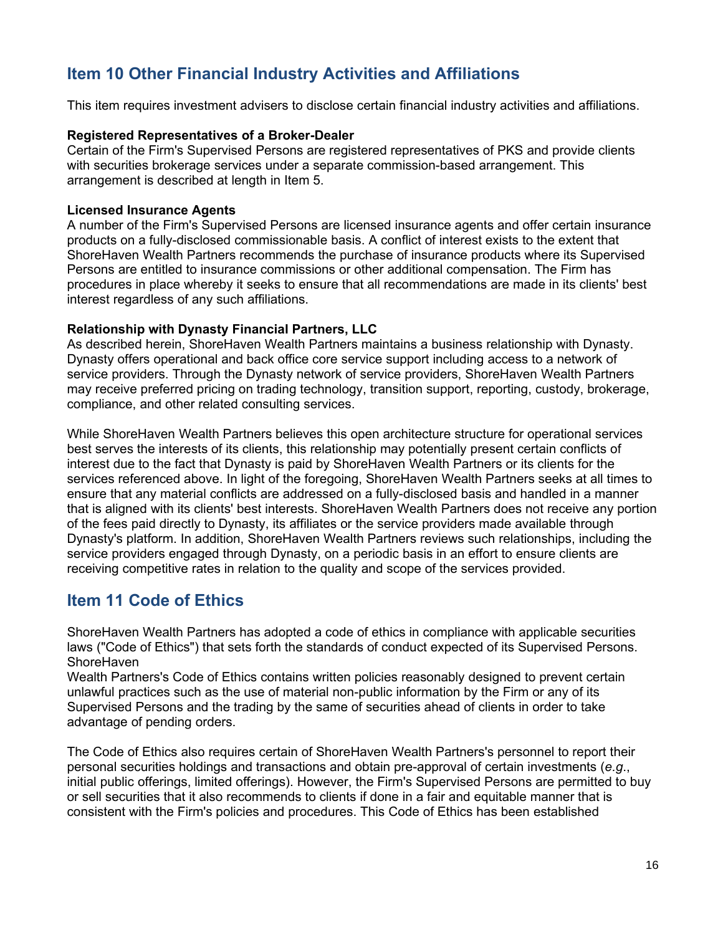# **Item 10 Other Financial Industry Activities and Affiliations**

This item requires investment advisers to disclose certain financial industry activities and affiliations.

#### **Registered Representatives of a Broker-Dealer**

Certain of the Firm's Supervised Persons are registered representatives of PKS and provide clients with securities brokerage services under a separate commission-based arrangement. This arrangement is described at length in Item 5.

#### **Licensed Insurance Agents**

A number of the Firm's Supervised Persons are licensed insurance agents and offer certain insurance products on a fully-disclosed commissionable basis. A conflict of interest exists to the extent that ShoreHaven Wealth Partners recommends the purchase of insurance products where its Supervised Persons are entitled to insurance commissions or other additional compensation. The Firm has procedures in place whereby it seeks to ensure that all recommendations are made in its clients' best interest regardless of any such affiliations.

#### **Relationship with Dynasty Financial Partners, LLC**

As described herein, ShoreHaven Wealth Partners maintains a business relationship with Dynasty. Dynasty offers operational and back office core service support including access to a network of service providers. Through the Dynasty network of service providers, ShoreHaven Wealth Partners may receive preferred pricing on trading technology, transition support, reporting, custody, brokerage, compliance, and other related consulting services.

While ShoreHaven Wealth Partners believes this open architecture structure for operational services best serves the interests of its clients, this relationship may potentially present certain conflicts of interest due to the fact that Dynasty is paid by ShoreHaven Wealth Partners or its clients for the services referenced above. In light of the foregoing, ShoreHaven Wealth Partners seeks at all times to ensure that any material conflicts are addressed on a fully-disclosed basis and handled in a manner that is aligned with its clients' best interests. ShoreHaven Wealth Partners does not receive any portion of the fees paid directly to Dynasty, its affiliates or the service providers made available through Dynasty's platform. In addition, ShoreHaven Wealth Partners reviews such relationships, including the service providers engaged through Dynasty, on a periodic basis in an effort to ensure clients are receiving competitive rates in relation to the quality and scope of the services provided.

## **Item 11 Code of Ethics**

ShoreHaven Wealth Partners has adopted a code of ethics in compliance with applicable securities laws ("Code of Ethics") that sets forth the standards of conduct expected of its Supervised Persons. **ShoreHaven** 

Wealth Partners's Code of Ethics contains written policies reasonably designed to prevent certain unlawful practices such as the use of material non-public information by the Firm or any of its Supervised Persons and the trading by the same of securities ahead of clients in order to take advantage of pending orders.

The Code of Ethics also requires certain of ShoreHaven Wealth Partners's personnel to report their personal securities holdings and transactions and obtain pre-approval of certain investments (*e.g*., initial public offerings, limited offerings). However, the Firm's Supervised Persons are permitted to buy or sell securities that it also recommends to clients if done in a fair and equitable manner that is consistent with the Firm's policies and procedures. This Code of Ethics has been established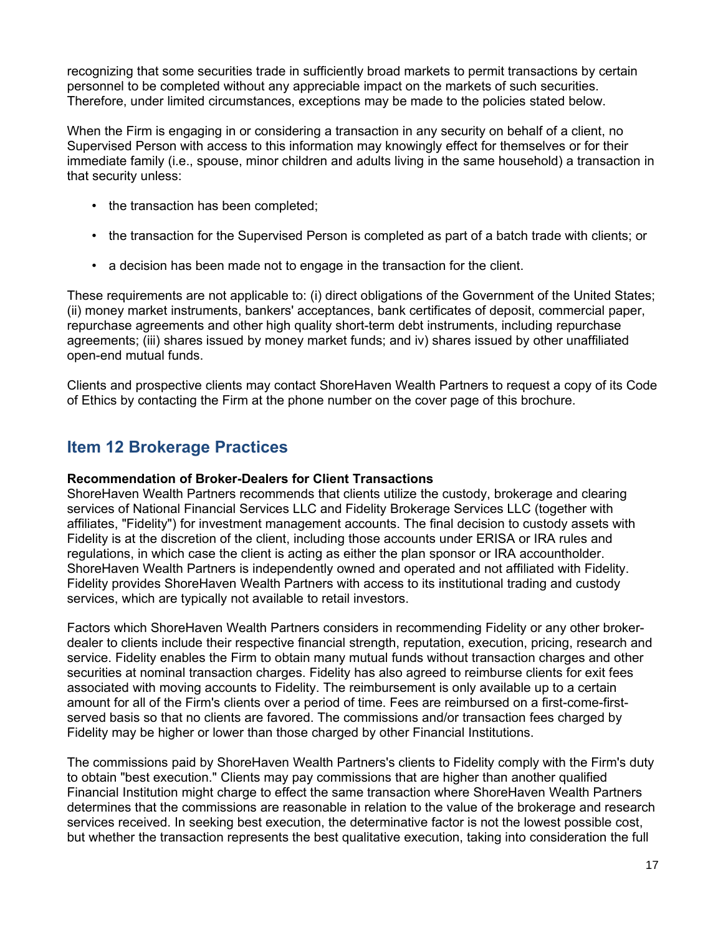recognizing that some securities trade in sufficiently broad markets to permit transactions by certain personnel to be completed without any appreciable impact on the markets of such securities. Therefore, under limited circumstances, exceptions may be made to the policies stated below.

When the Firm is engaging in or considering a transaction in any security on behalf of a client, no Supervised Person with access to this information may knowingly effect for themselves or for their immediate family (i.e., spouse, minor children and adults living in the same household) a transaction in that security unless:

- the transaction has been completed;
- the transaction for the Supervised Person is completed as part of a batch trade with clients; or
- a decision has been made not to engage in the transaction for the client.

These requirements are not applicable to: (i) direct obligations of the Government of the United States; (ii) money market instruments, bankers' acceptances, bank certificates of deposit, commercial paper, repurchase agreements and other high quality short-term debt instruments, including repurchase agreements; (iii) shares issued by money market funds; and iv) shares issued by other unaffiliated open-end mutual funds.

Clients and prospective clients may contact ShoreHaven Wealth Partners to request a copy of its Code of Ethics by contacting the Firm at the phone number on the cover page of this brochure.

# **Item 12 Brokerage Practices**

#### **Recommendation of Broker-Dealers for Client Transactions**

ShoreHaven Wealth Partners recommends that clients utilize the custody, brokerage and clearing services of National Financial Services LLC and Fidelity Brokerage Services LLC (together with affiliates, "Fidelity") for investment management accounts. The final decision to custody assets with Fidelity is at the discretion of the client, including those accounts under ERISA or IRA rules and regulations, in which case the client is acting as either the plan sponsor or IRA accountholder. ShoreHaven Wealth Partners is independently owned and operated and not affiliated with Fidelity. Fidelity provides ShoreHaven Wealth Partners with access to its institutional trading and custody services, which are typically not available to retail investors.

Factors which ShoreHaven Wealth Partners considers in recommending Fidelity or any other brokerdealer to clients include their respective financial strength, reputation, execution, pricing, research and service. Fidelity enables the Firm to obtain many mutual funds without transaction charges and other securities at nominal transaction charges. Fidelity has also agreed to reimburse clients for exit fees associated with moving accounts to Fidelity. The reimbursement is only available up to a certain amount for all of the Firm's clients over a period of time. Fees are reimbursed on a first-come-firstserved basis so that no clients are favored. The commissions and/or transaction fees charged by Fidelity may be higher or lower than those charged by other Financial Institutions.

The commissions paid by ShoreHaven Wealth Partners's clients to Fidelity comply with the Firm's duty to obtain "best execution." Clients may pay commissions that are higher than another qualified Financial Institution might charge to effect the same transaction where ShoreHaven Wealth Partners determines that the commissions are reasonable in relation to the value of the brokerage and research services received. In seeking best execution, the determinative factor is not the lowest possible cost, but whether the transaction represents the best qualitative execution, taking into consideration the full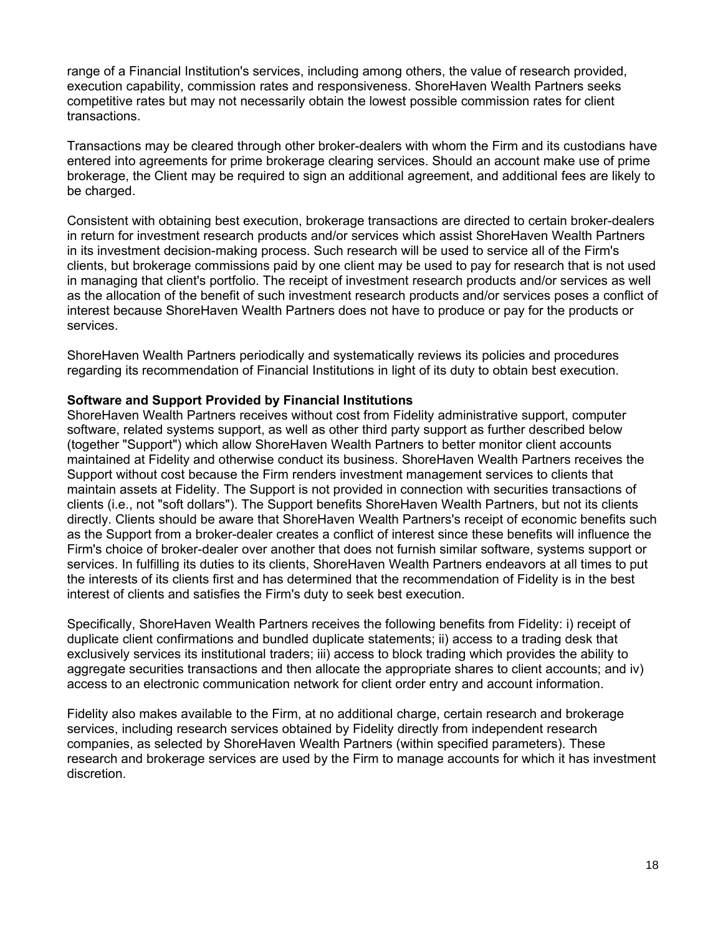range of a Financial Institution's services, including among others, the value of research provided, execution capability, commission rates and responsiveness. ShoreHaven Wealth Partners seeks competitive rates but may not necessarily obtain the lowest possible commission rates for client transactions.

Transactions may be cleared through other broker-dealers with whom the Firm and its custodians have entered into agreements for prime brokerage clearing services. Should an account make use of prime brokerage, the Client may be required to sign an additional agreement, and additional fees are likely to be charged.

Consistent with obtaining best execution, brokerage transactions are directed to certain broker-dealers in return for investment research products and/or services which assist ShoreHaven Wealth Partners in its investment decision-making process. Such research will be used to service all of the Firm's clients, but brokerage commissions paid by one client may be used to pay for research that is not used in managing that client's portfolio. The receipt of investment research products and/or services as well as the allocation of the benefit of such investment research products and/or services poses a conflict of interest because ShoreHaven Wealth Partners does not have to produce or pay for the products or services.

ShoreHaven Wealth Partners periodically and systematically reviews its policies and procedures regarding its recommendation of Financial Institutions in light of its duty to obtain best execution.

#### **Software and Support Provided by Financial Institutions**

ShoreHaven Wealth Partners receives without cost from Fidelity administrative support, computer software, related systems support, as well as other third party support as further described below (together "Support") which allow ShoreHaven Wealth Partners to better monitor client accounts maintained at Fidelity and otherwise conduct its business. ShoreHaven Wealth Partners receives the Support without cost because the Firm renders investment management services to clients that maintain assets at Fidelity. The Support is not provided in connection with securities transactions of clients (i.e., not "soft dollars"). The Support benefits ShoreHaven Wealth Partners, but not its clients directly. Clients should be aware that ShoreHaven Wealth Partners's receipt of economic benefits such as the Support from a broker-dealer creates a conflict of interest since these benefits will influence the Firm's choice of broker-dealer over another that does not furnish similar software, systems support or services. In fulfilling its duties to its clients, ShoreHaven Wealth Partners endeavors at all times to put the interests of its clients first and has determined that the recommendation of Fidelity is in the best interest of clients and satisfies the Firm's duty to seek best execution.

Specifically, ShoreHaven Wealth Partners receives the following benefits from Fidelity: i) receipt of duplicate client confirmations and bundled duplicate statements; ii) access to a trading desk that exclusively services its institutional traders; iii) access to block trading which provides the ability to aggregate securities transactions and then allocate the appropriate shares to client accounts; and iv) access to an electronic communication network for client order entry and account information.

Fidelity also makes available to the Firm, at no additional charge, certain research and brokerage services, including research services obtained by Fidelity directly from independent research companies, as selected by ShoreHaven Wealth Partners (within specified parameters). These research and brokerage services are used by the Firm to manage accounts for which it has investment discretion.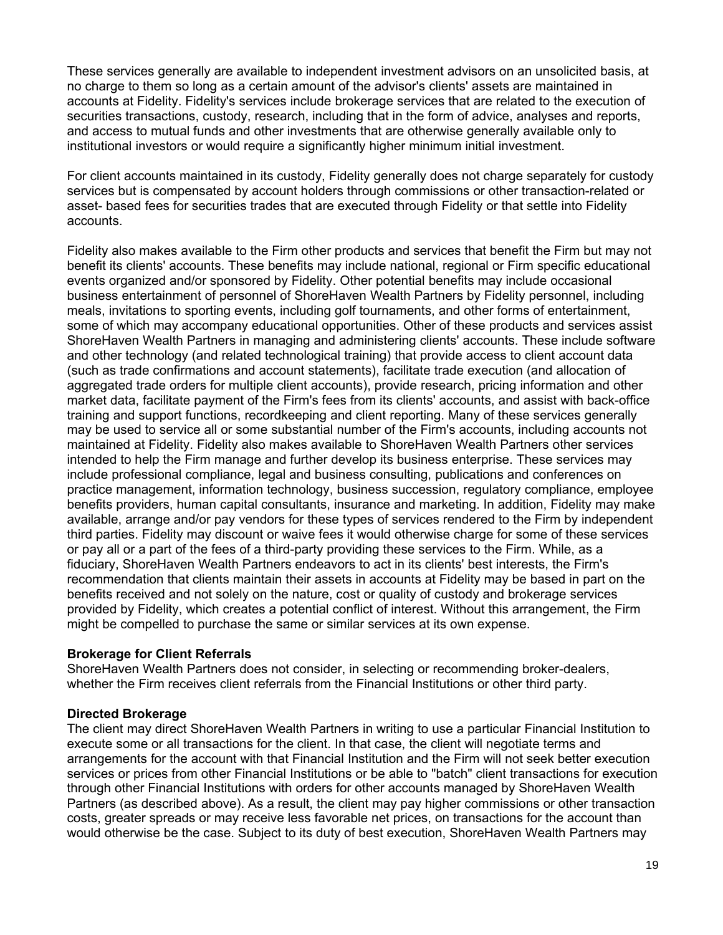These services generally are available to independent investment advisors on an unsolicited basis, at no charge to them so long as a certain amount of the advisor's clients' assets are maintained in accounts at Fidelity. Fidelity's services include brokerage services that are related to the execution of securities transactions, custody, research, including that in the form of advice, analyses and reports, and access to mutual funds and other investments that are otherwise generally available only to institutional investors or would require a significantly higher minimum initial investment.

For client accounts maintained in its custody, Fidelity generally does not charge separately for custody services but is compensated by account holders through commissions or other transaction-related or asset- based fees for securities trades that are executed through Fidelity or that settle into Fidelity accounts.

Fidelity also makes available to the Firm other products and services that benefit the Firm but may not benefit its clients' accounts. These benefits may include national, regional or Firm specific educational events organized and/or sponsored by Fidelity. Other potential benefits may include occasional business entertainment of personnel of ShoreHaven Wealth Partners by Fidelity personnel, including meals, invitations to sporting events, including golf tournaments, and other forms of entertainment, some of which may accompany educational opportunities. Other of these products and services assist ShoreHaven Wealth Partners in managing and administering clients' accounts. These include software and other technology (and related technological training) that provide access to client account data (such as trade confirmations and account statements), facilitate trade execution (and allocation of aggregated trade orders for multiple client accounts), provide research, pricing information and other market data, facilitate payment of the Firm's fees from its clients' accounts, and assist with back-office training and support functions, recordkeeping and client reporting. Many of these services generally may be used to service all or some substantial number of the Firm's accounts, including accounts not maintained at Fidelity. Fidelity also makes available to ShoreHaven Wealth Partners other services intended to help the Firm manage and further develop its business enterprise. These services may include professional compliance, legal and business consulting, publications and conferences on practice management, information technology, business succession, regulatory compliance, employee benefits providers, human capital consultants, insurance and marketing. In addition, Fidelity may make available, arrange and/or pay vendors for these types of services rendered to the Firm by independent third parties. Fidelity may discount or waive fees it would otherwise charge for some of these services or pay all or a part of the fees of a third-party providing these services to the Firm. While, as a fiduciary, ShoreHaven Wealth Partners endeavors to act in its clients' best interests, the Firm's recommendation that clients maintain their assets in accounts at Fidelity may be based in part on the benefits received and not solely on the nature, cost or quality of custody and brokerage services provided by Fidelity, which creates a potential conflict of interest. Without this arrangement, the Firm might be compelled to purchase the same or similar services at its own expense.

#### **Brokerage for Client Referrals**

ShoreHaven Wealth Partners does not consider, in selecting or recommending broker-dealers, whether the Firm receives client referrals from the Financial Institutions or other third party.

#### **Directed Brokerage**

The client may direct ShoreHaven Wealth Partners in writing to use a particular Financial Institution to execute some or all transactions for the client. In that case, the client will negotiate terms and arrangements for the account with that Financial Institution and the Firm will not seek better execution services or prices from other Financial Institutions or be able to "batch" client transactions for execution through other Financial Institutions with orders for other accounts managed by ShoreHaven Wealth Partners (as described above). As a result, the client may pay higher commissions or other transaction costs, greater spreads or may receive less favorable net prices, on transactions for the account than would otherwise be the case. Subject to its duty of best execution, ShoreHaven Wealth Partners may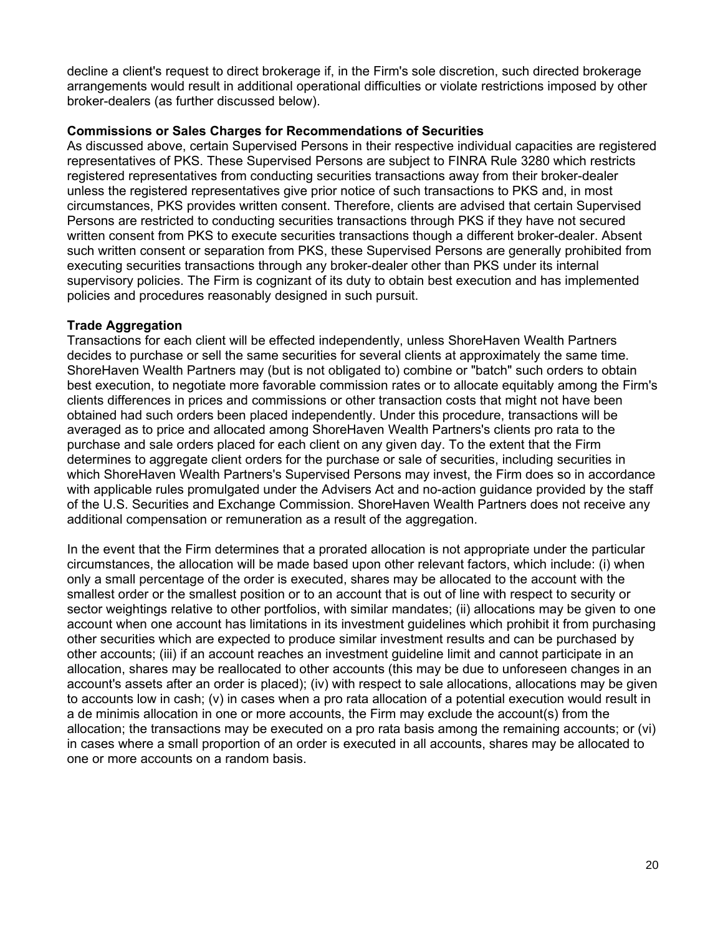decline a client's request to direct brokerage if, in the Firm's sole discretion, such directed brokerage arrangements would result in additional operational difficulties or violate restrictions imposed by other broker-dealers (as further discussed below).

#### **Commissions or Sales Charges for Recommendations of Securities**

As discussed above, certain Supervised Persons in their respective individual capacities are registered representatives of PKS. These Supervised Persons are subject to FINRA Rule 3280 which restricts registered representatives from conducting securities transactions away from their broker-dealer unless the registered representatives give prior notice of such transactions to PKS and, in most circumstances, PKS provides written consent. Therefore, clients are advised that certain Supervised Persons are restricted to conducting securities transactions through PKS if they have not secured written consent from PKS to execute securities transactions though a different broker-dealer. Absent such written consent or separation from PKS, these Supervised Persons are generally prohibited from executing securities transactions through any broker-dealer other than PKS under its internal supervisory policies. The Firm is cognizant of its duty to obtain best execution and has implemented policies and procedures reasonably designed in such pursuit.

#### **Trade Aggregation**

Transactions for each client will be effected independently, unless ShoreHaven Wealth Partners decides to purchase or sell the same securities for several clients at approximately the same time. ShoreHaven Wealth Partners may (but is not obligated to) combine or "batch" such orders to obtain best execution, to negotiate more favorable commission rates or to allocate equitably among the Firm's clients differences in prices and commissions or other transaction costs that might not have been obtained had such orders been placed independently. Under this procedure, transactions will be averaged as to price and allocated among ShoreHaven Wealth Partners's clients pro rata to the purchase and sale orders placed for each client on any given day. To the extent that the Firm determines to aggregate client orders for the purchase or sale of securities, including securities in which ShoreHaven Wealth Partners's Supervised Persons may invest, the Firm does so in accordance with applicable rules promulgated under the Advisers Act and no-action guidance provided by the staff of the U.S. Securities and Exchange Commission. ShoreHaven Wealth Partners does not receive any additional compensation or remuneration as a result of the aggregation.

In the event that the Firm determines that a prorated allocation is not appropriate under the particular circumstances, the allocation will be made based upon other relevant factors, which include: (i) when only a small percentage of the order is executed, shares may be allocated to the account with the smallest order or the smallest position or to an account that is out of line with respect to security or sector weightings relative to other portfolios, with similar mandates; (ii) allocations may be given to one account when one account has limitations in its investment guidelines which prohibit it from purchasing other securities which are expected to produce similar investment results and can be purchased by other accounts; (iii) if an account reaches an investment guideline limit and cannot participate in an allocation, shares may be reallocated to other accounts (this may be due to unforeseen changes in an account's assets after an order is placed); (iv) with respect to sale allocations, allocations may be given to accounts low in cash; (v) in cases when a pro rata allocation of a potential execution would result in a de minimis allocation in one or more accounts, the Firm may exclude the account(s) from the allocation; the transactions may be executed on a pro rata basis among the remaining accounts; or (vi) in cases where a small proportion of an order is executed in all accounts, shares may be allocated to one or more accounts on a random basis.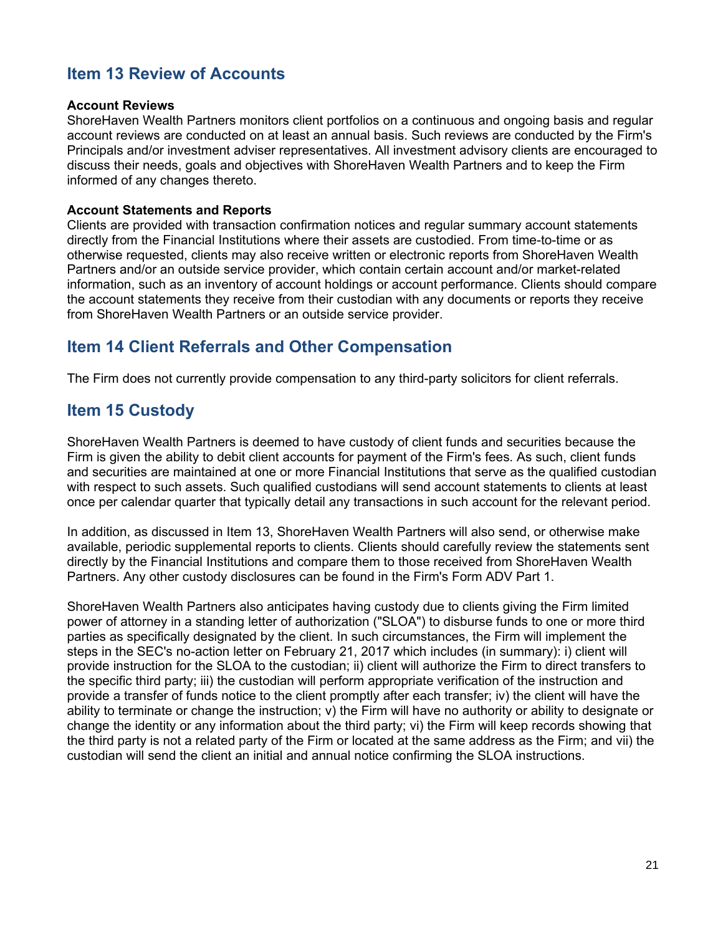# **Item 13 Review of Accounts**

#### **Account Reviews**

ShoreHaven Wealth Partners monitors client portfolios on a continuous and ongoing basis and regular account reviews are conducted on at least an annual basis. Such reviews are conducted by the Firm's Principals and/or investment adviser representatives. All investment advisory clients are encouraged to discuss their needs, goals and objectives with ShoreHaven Wealth Partners and to keep the Firm informed of any changes thereto.

#### **Account Statements and Reports**

Clients are provided with transaction confirmation notices and regular summary account statements directly from the Financial Institutions where their assets are custodied. From time-to-time or as otherwise requested, clients may also receive written or electronic reports from ShoreHaven Wealth Partners and/or an outside service provider, which contain certain account and/or market-related information, such as an inventory of account holdings or account performance. Clients should compare the account statements they receive from their custodian with any documents or reports they receive from ShoreHaven Wealth Partners or an outside service provider.

## **Item 14 Client Referrals and Other Compensation**

The Firm does not currently provide compensation to any third-party solicitors for client referrals.

## **Item 15 Custody**

ShoreHaven Wealth Partners is deemed to have custody of client funds and securities because the Firm is given the ability to debit client accounts for payment of the Firm's fees. As such, client funds and securities are maintained at one or more Financial Institutions that serve as the qualified custodian with respect to such assets. Such qualified custodians will send account statements to clients at least once per calendar quarter that typically detail any transactions in such account for the relevant period.

In addition, as discussed in Item 13, ShoreHaven Wealth Partners will also send, or otherwise make available, periodic supplemental reports to clients. Clients should carefully review the statements sent directly by the Financial Institutions and compare them to those received from ShoreHaven Wealth Partners. Any other custody disclosures can be found in the Firm's Form ADV Part 1.

ShoreHaven Wealth Partners also anticipates having custody due to clients giving the Firm limited power of attorney in a standing letter of authorization ("SLOA") to disburse funds to one or more third parties as specifically designated by the client. In such circumstances, the Firm will implement the steps in the SEC's no-action letter on February 21, 2017 which includes (in summary): i) client will provide instruction for the SLOA to the custodian; ii) client will authorize the Firm to direct transfers to the specific third party; iii) the custodian will perform appropriate verification of the instruction and provide a transfer of funds notice to the client promptly after each transfer; iv) the client will have the ability to terminate or change the instruction; v) the Firm will have no authority or ability to designate or change the identity or any information about the third party; vi) the Firm will keep records showing that the third party is not a related party of the Firm or located at the same address as the Firm; and vii) the custodian will send the client an initial and annual notice confirming the SLOA instructions.